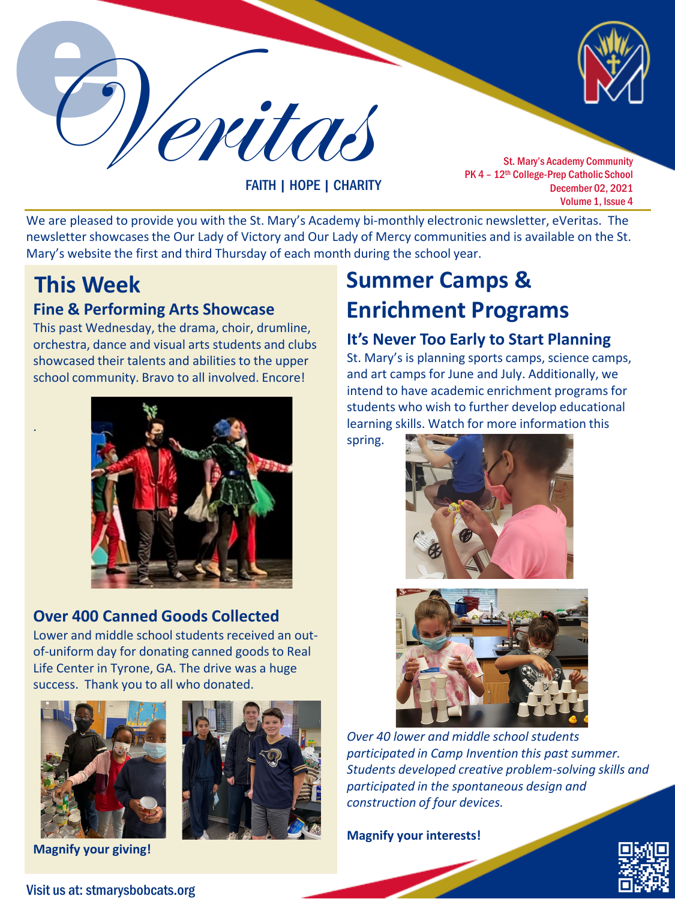Veritas

FAITH | HOPE | CHARITY

St. Mary's Academy Community PK 4 - 12<sup>th</sup> College-Prep Catholic School December 02, 2021 Volume 1, Issue 4

We are pleased to provide you with the St. Mary's Academy bi-monthly electronic newsletter, eVeritas. The newsletter showcases the Our Lady of Victory and Our Lady of Mercy communities and is available on the St. Mary's website the first and third Thursday of each month during the school year.

.

#### **Fine & Performing Arts Showcase**

This past Wednesday, the drama, choir, drumline, orchestra, dance and visual arts students and clubs showcased their talents and abilities to the upper school community. Bravo to all involved. Encore!



### **Over 400 Canned Goods Collected**

Lower and middle school students received an outof-uniform day for donating canned goods to Real Life Center in Tyrone, GA. The drive was a huge success. Thank you to all who donated.





**Magnify your giving!**

# **This Week Summer Camps & Enrichment Programs**

#### **It's Never Too Early to Start Planning**

St. Mary's is planning sports camps, science camps, and art camps for June and July. Additionally, we intend to have academic enrichment programs for students who wish to further develop educational learning skills. Watch for more information this

spring.





*Over 40 lower and middle school students participated in Camp Invention this past summer. Students developed creative problem-solving skills and participated in the spontaneous design and construction of four devices.* 

**Magnify your interests!**



Visit us at: stmarysbobcats.org